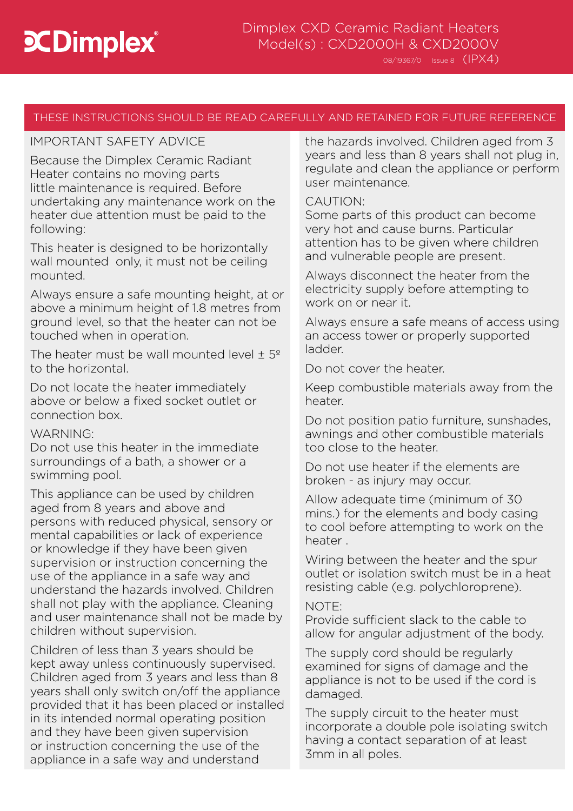# THESE INSTRUCTIONS SHOULD BE READ CAREFULLY AND RETAINED FOR FUTURE REFERENCE

## IMPORTANT SAFETY ADVICE

Because the Dimplex Ceramic Radiant Heater contains no moving parts little maintenance is required. Before undertaking any maintenance work on the heater due attention must be paid to the following:

This heater is designed to be horizontally wall mounted only, it must not be ceiling mounted.

Always ensure a safe mounting height, at or above a minimum height of 1.8 metres from ground level, so that the heater can not be touched when in operation.

The heater must be wall mounted level  $\pm$  5<sup>o</sup> to the horizontal.

Do not locate the heater immediately above or below a fixed socket outlet or connection box.

## WARNING:

Do not use this heater in the immediate surroundings of a bath, a shower or a swimming pool.

This appliance can be used by children aged from 8 years and above and persons with reduced physical, sensory or mental capabilities or lack of experience or knowledge if they have been given supervision or instruction concerning the use of the appliance in a safe way and understand the hazards involved. Children shall not play with the appliance. Cleaning and user maintenance shall not be made by children without supervision.

Children of less than 3 years should be kept away unless continuously supervised. Children aged from 3 years and less than 8 years shall only switch on/off the appliance provided that it has been placed or installed in its intended normal operating position and they have been given supervision or instruction concerning the use of the appliance in a safe way and understand

the hazards involved. Children aged from 3 years and less than 8 years shall not plug in, regulate and clean the appliance or perform user maintenance.

## CAUTION:

Some parts of this product can become very hot and cause burns. Particular attention has to be given where children and vulnerable people are present.

Always disconnect the heater from the electricity supply before attempting to work on or near it.

Always ensure a safe means of access using an access tower or properly supported ladder.

Do not cover the heater.

Keep combustible materials away from the heater.

Do not position patio furniture, sunshades, awnings and other combustible materials too close to the heater.

Do not use heater if the elements are broken - as injury may occur.

Allow adequate time (minimum of 30 mins.) for the elements and body casing to cool before attempting to work on the heater .

Wiring between the heater and the spur outlet or isolation switch must be in a heat resisting cable (e.g. polychloroprene).

## NOTE:

Provide sufficient slack to the cable to allow for angular adjustment of the body.

The supply cord should be regularly examined for signs of damage and the appliance is not to be used if the cord is damaged.

The supply circuit to the heater must incorporate a double pole isolating switch having a contact separation of at least 3mm in all poles.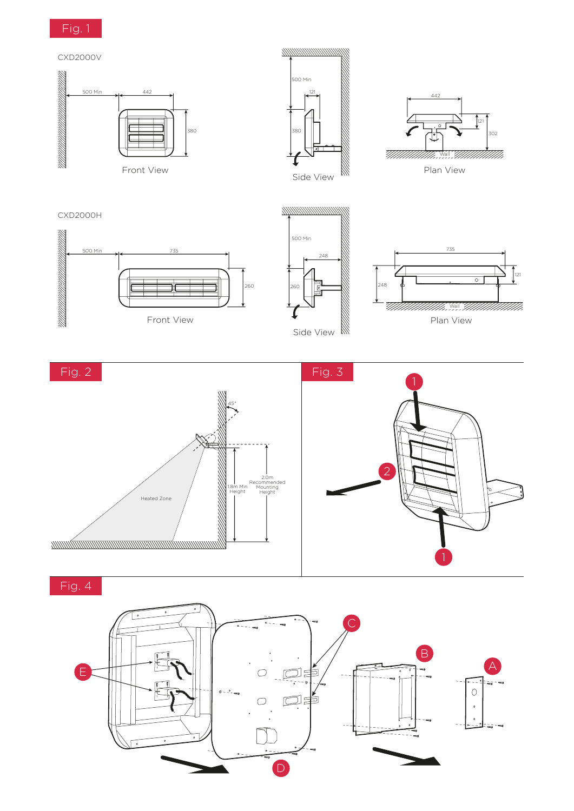



121





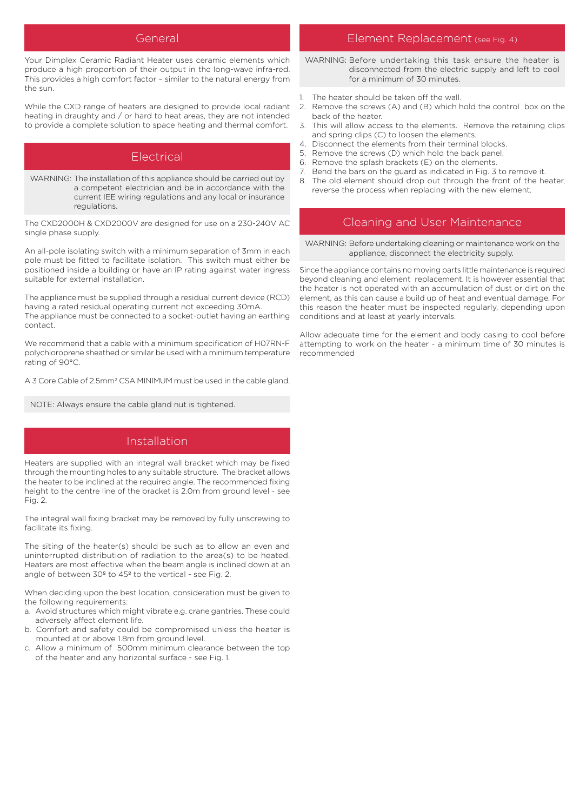Your Dimplex Ceramic Radiant Heater uses ceramic elements which produce a high proportion of their output in the long-wave infra-red. This provides a high comfort factor – similar to the natural energy from the sun.

While the CXD range of heaters are designed to provide local radiant heating in draughty and / or hard to heat areas, they are not intended to provide a complete solution to space heating and thermal comfort.

## Electrical

WARNING: The installation of this appliance should be carried out by a competent electrician and be in accordance with the current IEE wiring regulations and any local or insurance regulations.

The CXD2000H & CXD2000V are designed for use on a 230-240V AC single phase supply.

An all-pole isolating switch with a minimum separation of 3mm in each pole must be fitted to facilitate isolation. This switch must either be positioned inside a building or have an IP rating against water ingress suitable for external installation.

The appliance must be supplied through a residual current device (RCD) having a rated residual operating current not exceeding 30mA. The appliance must be connected to a socket-outlet having an earthing contact.

We recommend that a cable with a minimum specification of H07RN-F polychloroprene sheathed or similar be used with a minimum temperature rating of 90°C.

A 3 Core Cable of 2.5mm2 CSA MINIMUM must be used in the cable gland.

NOTE: Always ensure the cable gland nut is tightened.

## Installation

Heaters are supplied with an integral wall bracket which may be fixed through the mounting holes to any suitable structure. The bracket allows the heater to be inclined at the required angle. The recommended fixing height to the centre line of the bracket is 2.0m from ground level - see Fig. 2.

The integral wall fixing bracket may be removed by fully unscrewing to facilitate its fixing.

The siting of the heater(s) should be such as to allow an even and uninterrupted distribution of radiation to the area(s) to be heated. Heaters are most effective when the beam angle is inclined down at an angle of between 30º to 45º to the vertical - see Fig. 2.

When deciding upon the best location, consideration must be given to the following requirements:

- a. Avoid structures which might vibrate e.g. crane gantries. These could adversely affect element life.
- b. Comfort and safety could be compromised unless the heater is mounted at or above 1.8m from ground level.
- c. Allow a minimum of 500mm minimum clearance between the top of the heater and any horizontal surface - see Fig. 1.

#### General Element Replacement (see Fig. 4)

WARNING: Before undertaking this task ensure the heater is disconnected from the electric supply and left to cool for a minimum of 30 minutes.

- The heater should be taken off the wall.
- 2. Remove the screws (A) and (B) which hold the control box on the back of the heater.
- 3. This will allow access to the elements. Remove the retaining clips and spring clips (C) to loosen the elements.
- 4. Disconnect the elements from their terminal blocks.
- 5. Remove the screws (D) which hold the back panel.
- 6. Remove the splash brackets (E) on the elements.
- Bend the bars on the guard as indicated in Fig. 3 to remove it. 8. The old element should drop out through the front of the heater, reverse the process when replacing with the new element.

#### Cleaning and User Maintenance

WARNING: Before undertaking cleaning or maintenance work on the appliance, disconnect the electricity supply.

Since the appliance contains no moving parts little maintenance is required beyond cleaning and element replacement. It is however essential that the heater is not operated with an accumulation of dust or dirt on the element, as this can cause a build up of heat and eventual damage. For this reason the heater must be inspected regularly, depending upon conditions and at least at yearly intervals.

Allow adequate time for the element and body casing to cool before attempting to work on the heater - a minimum time of 30 minutes is recommended